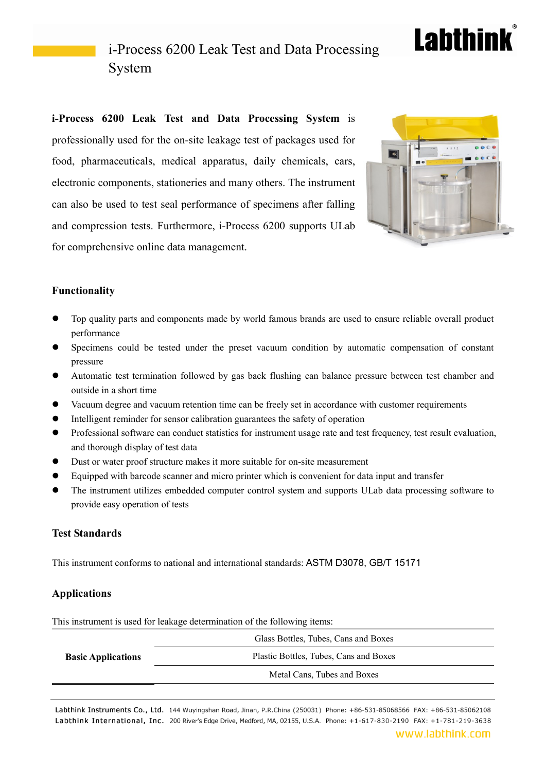## **Labthink**

### i-Process 6200 Leak Test and Data Processing System

**i-Process 6200 Leak Test and Data Processing System** is professionally used for the on-site leakage test of packages used for food, pharmaceuticals, medical apparatus, daily chemicals, cars, electronic components, stationeries and many others. The instrument can also be used to test seal performance of specimens after falling and compression tests. Furthermore, i-Process 6200 supports ULab for comprehensive online data management.



### **Functionality**

- Top quality parts and components made by world famous brands are used to ensure reliable overall product performance
- Specimens could be tested under the preset vacuum condition by automatic compensation of constant pressure
- Automatic test termination followed by gas back flushing can balance pressure between test chamber and outside in a short time
- Vacuum degree and vacuum retention time can be freely set in accordance with customer requirements
- Intelligent reminder for sensor calibration guarantees the safety of operation
- Professional software can conduct statistics for instrument usage rate and test frequency, test result evaluation, and thorough display of test data
- Dust or water proof structure makes it more suitable for on-site measurement
- Equipped with barcode scanner and micro printer which is convenient for data input and transfer
- The instrument utilizes embedded computer control system and supports ULab data processing software to provide easy operation of tests

#### **Test Standards**

This instrument conforms to national and international standards: ASTM D3078, GB/T 15171

#### **Applications**

This instrument is used for leakage determination of the following items:

|                           | Glass Bottles, Tubes, Cans and Boxes   |
|---------------------------|----------------------------------------|
| <b>Basic Applications</b> | Plastic Bottles, Tubes, Cans and Boxes |
|                           | Metal Cans, Tubes and Boxes            |
|                           |                                        |

Labthink Instruments Co., Ltd. 144 Wuyingshan Road, Jinan, P.R.China (250031) Phone: +86-531-85068566 FAX: +86-531-85062108 Labthink International, Inc. 200 River's Edge Drive, Medford, MA, 02155, U.S.A. Phone: +1-617-830-2190 FAX: +1-781-219-3638